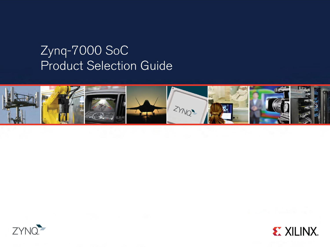## Zynq-7000 SoC **Product Selection Guide**





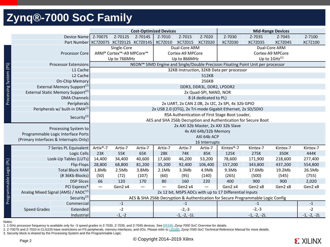### **Zynq®-7000 SoC Family**

|                                                                           |                                                                |  |                                                            |                                                                                 | <b>Cost-Optimized Devices</b> |                                           |               |                                      | <b>Mid-Range Devices</b>                               |                                                                                 |                              |          |  |  |  |
|---------------------------------------------------------------------------|----------------------------------------------------------------|--|------------------------------------------------------------|---------------------------------------------------------------------------------|-------------------------------|-------------------------------------------|---------------|--------------------------------------|--------------------------------------------------------|---------------------------------------------------------------------------------|------------------------------|----------|--|--|--|
|                                                                           | Device Name                                                    |  | Z-7007S                                                    | Z-7012S                                                                         | Z-7014S                       | Z-7010                                    | Z-7015        | Z-7020                               | Z-7030                                                 | Z-7035                                                                          | Z-7045                       | Z-7100   |  |  |  |
|                                                                           |                                                                |  |                                                            | Part Number XC7Z007S XC7Z012S XC7Z014S                                          |                               | XC7Z010                                   | XC7Z015       | XC7Z020                              | XC7Z030                                                | XC7Z035                                                                         | XC7Z045                      | XC7Z100  |  |  |  |
|                                                                           |                                                                |  |                                                            | Single-Core<br>Dual-Core ARM<br>Dual-Core ARM                                   |                               |                                           |               |                                      |                                                        |                                                                                 |                              |          |  |  |  |
|                                                                           | Processor Core                                                 |  |                                                            | ARM® Cortex <sup>™</sup> -A9 MPCore™                                            |                               |                                           |               | Cortex-A9 MPCore<br>Cortex-A9 MPCore |                                                        |                                                                                 |                              |          |  |  |  |
|                                                                           |                                                                |  |                                                            | Up to 766MHz                                                                    |                               |                                           | Up to 866MHz  |                                      |                                                        |                                                                                 | Up to $1$ GHz <sup>(1)</sup> |          |  |  |  |
|                                                                           | <b>Processor Extensions</b>                                    |  |                                                            | NEON™ SIMD Engine and Single/Double Precision Floating Point Unit per processor |                               |                                           |               |                                      |                                                        |                                                                                 |                              |          |  |  |  |
|                                                                           | L1 Cache                                                       |  |                                                            |                                                                                 |                               | 32KB Instruction, 32KB Data per processor |               |                                      |                                                        |                                                                                 |                              |          |  |  |  |
|                                                                           | L <sub>2</sub> Cache                                           |  |                                                            |                                                                                 |                               |                                           |               | 512KB                                |                                                        |                                                                                 |                              |          |  |  |  |
|                                                                           | On-Chip Memory                                                 |  |                                                            |                                                                                 |                               |                                           |               | 256KB                                |                                                        |                                                                                 |                              |          |  |  |  |
|                                                                           | External Memory Support <sup>(2)</sup>                         |  |                                                            |                                                                                 |                               |                                           |               | DDR3, DDR3L, DDR2, LPDDR2            |                                                        |                                                                                 |                              |          |  |  |  |
|                                                                           | External Static Memory Support <sup>(2)</sup>                  |  |                                                            | 2x Quad-SPI, NAND, NOR                                                          |                               |                                           |               |                                      |                                                        |                                                                                 |                              |          |  |  |  |
| Processing System (PS)<br>DMA Channels                                    |                                                                |  |                                                            |                                                                                 |                               |                                           |               | 8 (4 dedicated to PL)                |                                                        |                                                                                 |                              |          |  |  |  |
|                                                                           | Peripherals                                                    |  | 2x UART, 2x CAN 2.0B, 2x I2C, 2x SPI, 4x 32b GPIO          |                                                                                 |                               |                                           |               |                                      |                                                        |                                                                                 |                              |          |  |  |  |
|                                                                           | Peripherals w/ built-in DMA <sup>(2)</sup>                     |  | 2x USB 2.0 (OTG), 2x Tri-mode Gigabit Ethernet, 2x SD/SDIO |                                                                                 |                               |                                           |               |                                      |                                                        |                                                                                 |                              |          |  |  |  |
| RSA Authentication of First Stage Boot Loader,<br>Security <sup>(3)</sup> |                                                                |  |                                                            |                                                                                 |                               |                                           |               |                                      |                                                        |                                                                                 |                              |          |  |  |  |
|                                                                           | AES and SHA 256b Decryption and Authentication for Secure Boot |  |                                                            |                                                                                 |                               |                                           |               |                                      |                                                        |                                                                                 |                              |          |  |  |  |
|                                                                           | Processing System to                                           |  | 2x AXI 32b Master, 2x AXI 32b Slave                        |                                                                                 |                               |                                           |               |                                      |                                                        |                                                                                 |                              |          |  |  |  |
|                                                                           | Programmable Logic Interface Ports                             |  | 4x AXI 64b/32b Memory                                      |                                                                                 |                               |                                           |               |                                      |                                                        |                                                                                 |                              |          |  |  |  |
|                                                                           | (Primary Interfaces & Interrupts Only)                         |  | AXI 64b ACP                                                |                                                                                 |                               |                                           |               |                                      |                                                        |                                                                                 |                              |          |  |  |  |
|                                                                           |                                                                |  | 16 Interrupts                                              |                                                                                 |                               |                                           |               |                                      |                                                        |                                                                                 |                              |          |  |  |  |
|                                                                           | 7 Series PL Equivalent                                         |  | Artix®-7                                                   | Artix-7                                                                         | Artix-7                       | Artix-7                                   | Artix-7       | Artix-7                              | Kintex®-7                                              | Kintex-7                                                                        | Kintex-7                     | Kintex-7 |  |  |  |
|                                                                           | Logic Cells                                                    |  | 23K                                                        | 55K                                                                             | 65K                           | <b>28K</b>                                | 74K           | 85K                                  | 125K                                                   | 275K                                                                            | 350K                         | 444K     |  |  |  |
|                                                                           | Look-Up Tables (LUTs)                                          |  | 14,400                                                     | 34,400                                                                          | 40,600                        | 17,600                                    | 46,200        | 53,200                               | 78,600                                                 | 171,900                                                                         | 218,600                      | 277,400  |  |  |  |
|                                                                           | Flip-Flops                                                     |  | 28,800                                                     | 68,800                                                                          | 81,200                        | 35,200                                    | 92,400        | 106,400                              | 157,200                                                | 343,800                                                                         | 437,200                      | 554,800  |  |  |  |
|                                                                           | <b>Total Block RAM</b>                                         |  | 1.8Mb                                                      | 2.5Mb                                                                           | 3.8Mb                         | 2.1Mb                                     | 3.3Mb         | 4.9Mb                                | 9.3Mb                                                  | 17.6Mb                                                                          | 19.2Mb                       | 26.5Mb   |  |  |  |
|                                                                           | (#36Kb Blocks)                                                 |  | (50)                                                       | (72)                                                                            | (107)                         | (60)                                      | (95)          | (140)                                | (265)                                                  | (500)                                                                           | (545)                        | (755)    |  |  |  |
|                                                                           | <b>DSP Slices</b>                                              |  | 66                                                         | 120                                                                             | 170                           | 80                                        | 160           | 220                                  | 400                                                    | 900                                                                             | 900                          | 2,020    |  |  |  |
|                                                                           | PCI Express <sup>®</sup>                                       |  | $\qquad \qquad -$                                          | Gen2 x4                                                                         |                               | $\overline{\phantom{m}}$                  | Gen2 x4       |                                      | Gen2 x4                                                | Gen2 x8                                                                         | Gen2 x8                      | Gen2 x8  |  |  |  |
| Programmable Logic (PL)                                                   | Analog Mixed Signal (AMS) / XADC <sup>(2)</sup>                |  |                                                            |                                                                                 |                               |                                           |               |                                      | 2x 12 bit, MSPS ADCs with up to 17 Differential Inputs |                                                                                 |                              |          |  |  |  |
|                                                                           | Security <sup>(3)</sup>                                        |  |                                                            |                                                                                 |                               |                                           |               |                                      |                                                        | AES & SHA 256b Decryption & Authentication for Secure Programmable Logic Config |                              |          |  |  |  |
|                                                                           | Commercial                                                     |  |                                                            | $-1$                                                                            |                               |                                           | $-1$          |                                      |                                                        | $-1$                                                                            |                              | $-1$     |  |  |  |
|                                                                           | <b>Speed Grades</b><br>Extended                                |  |                                                            | $-2$                                                                            |                               |                                           | $-2,-3$       |                                      |                                                        | $-2,-3$<br>$-1, -2, -2L$                                                        |                              | $-2$     |  |  |  |
|                                                                           | Industrial                                                     |  |                                                            | $-1, -2$                                                                        |                               |                                           | $-1, -2, -11$ |                                      |                                                        | $-1, -2, -2L$                                                                   |                              |          |  |  |  |

Notes:

1. 1 GHz processor frequency is available only for -3 speed grades in Z-7030, Z-7035, and Z-7045 devices. See [DS190](http://www.xilinx.com/support/documentation/data_sheets/ds190-Zynq-7000-Overview.pdf), *Zynq-7000 SoC Overview* for details.

2. Z-7007S and Z-7010 in CLG225 have restrictions on PS peripherals, memory interfaces, and I/Os. Please refer to [UG585,](http://www.xilinx.com/support/documentation/user_guides/ug585-Zynq-7000-TRM.pdf) *Zynq-7000 SoC Technical Reference Manual* for more details.

3. Security block is shared by the Processing System and the Programmable Logic.

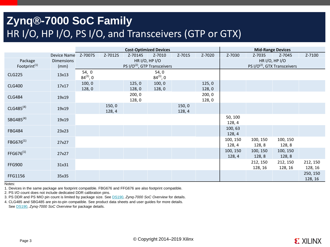### **Zynq®-7000 SoC Family** HR I/O, HP I/O, PS I/O, and Transceivers (GTP or GTX)

|                          |                   |                         |                  |                 | <b>Cost-Optimized Devices</b>            |                  |                 | <b>Mid-Range Devices</b>                 |                     |                     |                     |  |
|--------------------------|-------------------|-------------------------|------------------|-----------------|------------------------------------------|------------------|-----------------|------------------------------------------|---------------------|---------------------|---------------------|--|
|                          | Device Name       | Z-7007S                 | Z-7012S          | Z-7014S         | Z-7010                                   | Z-7015           | Z-7020          | Z-7030                                   | Z-7035              | Z-7045              | Z-7100              |  |
| Package                  | <b>Dimensions</b> |                         |                  | HR I/O, HP I/O  |                                          |                  |                 | HR I/O, HP I/O                           |                     |                     |                     |  |
| Footprint <sup>(1)</sup> | (mm)              |                         |                  |                 | PS I/O <sup>(2)</sup> , GTP Transceivers |                  |                 | PS I/O <sup>(2)</sup> , GTX Transceivers |                     |                     |                     |  |
| <b>CLG225</b>            | 13x13             | 54, 0<br>$84^{(3)}$ , 0 |                  |                 | 54,0<br>$84^{(3)}$ , 0                   |                  |                 |                                          |                     |                     |                     |  |
| <b>CLG400</b>            | 17x17             | 100, 0<br>128,0         |                  | 125,0<br>128,0  | 100, 0<br>128,0                          |                  | 125,0<br>128,0  |                                          |                     |                     |                     |  |
| <b>CLG484</b>            | 19x19             |                         |                  | 200, 0<br>128,0 |                                          |                  | 200, 0<br>128,0 |                                          |                     |                     |                     |  |
| $CLG485^{(4)}$           | 19x19             |                         | 150, 0<br>128, 4 |                 |                                          | 150, 0<br>128, 4 |                 |                                          |                     |                     |                     |  |
| SBG485 <sup>(4)</sup>    | 19x19             |                         |                  |                 |                                          |                  |                 | 50, 100<br>128, 4                        |                     |                     |                     |  |
| <b>FBG484</b>            | 23x23             |                         |                  |                 |                                          |                  |                 | 100,63<br>128, 4                         |                     |                     |                     |  |
| FBG676 <sup>(1)</sup>    | 27x27             |                         |                  |                 |                                          |                  |                 | 100, 150<br>128, 4                       | 100, 150<br>128,8   | 100, 150<br>128,8   |                     |  |
| FFG676 <sup>(1)</sup>    | 27x27             |                         |                  |                 |                                          |                  |                 | 100, 150<br>128, 4                       | 100, 150<br>128,8   | 100, 150<br>128,8   |                     |  |
| <b>FFG900</b>            | 31x31             |                         |                  |                 |                                          |                  |                 |                                          | 212, 150<br>128, 16 | 212, 150<br>128, 16 | 212, 150<br>128, 16 |  |
| FFG1156                  | 35x35             |                         |                  |                 |                                          |                  |                 |                                          |                     |                     | 250, 150<br>128, 16 |  |

Notes:

1. Devices in the same package are footprint compatible. FBG676 and FFG676 are also footprint compatible.

2. PS I/O count does not include dedicated DDR calibration pins.

3. PS DDR and PS MIO pin count is limited by package size. See [DS190](http://www.xilinx.com/support/documentation/data_sheets/ds190-Zynq-7000-Overview.pdf), *Zynq-7000 SoC Overview* for details.

4. CLG485 and SBG485 are pin-to-pin compatible. See product data sheets and user guides for more details. See [DS190,](http://www.xilinx.com/support/documentation/data_sheets/ds190-Zynq-7000-Overview.pdf) *Zynq-7000 SoC Overview* for package details.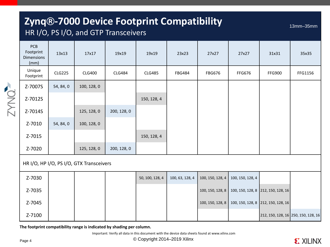### **Zynq®-7000 Device Footprint Compatibility**

### HR I/O, PS I/O, and GTP Transceivers

13mm–35mm

|                                                          | PCB<br>Footprint<br><b>Dimensions</b><br>(mm) | 13x13         | 17x17         | 19x19         | 19x19           | 23x23           | 27x27            | 27x27            | 31x31                               | 35x35   |
|----------------------------------------------------------|-----------------------------------------------|---------------|---------------|---------------|-----------------|-----------------|------------------|------------------|-------------------------------------|---------|
|                                                          | Unique<br>Footprint                           | <b>CLG225</b> | <b>CLG400</b> | <b>CLG484</b> | <b>CLG485</b>   | <b>FBG484</b>   | <b>FBG676</b>    | <b>FFG676</b>    | <b>FFG900</b>                       | FFG1156 |
|                                                          | Z-7007S                                       | 54, 84, 0     | 100, 128, 0   |               |                 |                 |                  |                  |                                     |         |
| <b>EXNOT</b>                                             | Z-7012S                                       |               |               |               | 150, 128, 4     |                 |                  |                  |                                     |         |
|                                                          | Z-7014S                                       |               | 125, 128, 0   | 200, 128, 0   |                 |                 |                  |                  |                                     |         |
|                                                          | Z-7010                                        | 54, 84, 0     | 100, 128, 0   |               |                 |                 |                  |                  |                                     |         |
|                                                          | Z-7015                                        |               |               |               | 150, 128, 4     |                 |                  |                  |                                     |         |
|                                                          | Z-7020                                        |               | 125, 128, 0   | 200, 128, 0   |                 |                 |                  |                  |                                     |         |
| HR I/O, HP I/O, PS I/O, GTX Transceivers<br>$\epsilon$ . |                                               |               |               |               |                 |                 |                  |                  |                                     |         |
|                                                          | Z-7030                                        |               |               |               | 50, 100, 128, 4 | 100, 63, 128, 4 | 100, 150, 128, 4 | 100, 150, 128, 4 |                                     |         |
|                                                          | Z-7035                                        |               |               |               |                 |                 | 100, 150, 128, 8 |                  | 100, 150, 128, 8 212, 150, 128, 16  |         |
|                                                          | Z-7045                                        |               |               |               |                 |                 | 100, 150, 128, 8 |                  | 100, 150, 128, 8 212, 150, 128, 16  |         |
|                                                          | Z-7100                                        |               |               |               |                 |                 |                  |                  | 212, 150, 128, 16 250, 150, 128, 16 |         |

**The footprint compatibility range is indicated by shading per column.**

Important: Verify all data in this document with the device data sheets found at www.xilinx.com

© Copyright 2014–2019 Xilinx

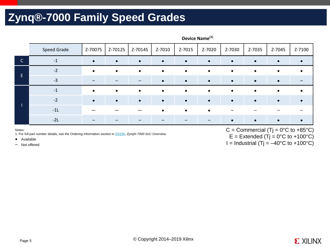### **Zynq®-7000 Family Speed Grades**

|              | <b>Speed Grade</b> | Z-7007S   | Z-7012S   | Z-7014S   | Z-7010    | Z-7015    | Z-7020    | Z-7030    | Z-7035 | Z-7045    | Z-7100 |
|--------------|--------------------|-----------|-----------|-----------|-----------|-----------|-----------|-----------|--------|-----------|--------|
| $\mathsf{C}$ | $-1$               | $\bullet$ | $\bullet$ | $\bullet$ | $\bullet$ | $\bullet$ | $\bullet$ | $\bullet$ |        | $\bullet$ |        |
| E.           | $-2$               |           | $\bullet$ | $\bullet$ | $\bullet$ | $\bullet$ | $\bullet$ | $\bullet$ |        |           |        |
|              | $-3$               |           |           |           |           | $\bullet$ | $\bullet$ | $\bullet$ |        |           |        |
|              | $-1$               |           | $\bullet$ | $\bullet$ | $\bullet$ | $\bullet$ | $\bullet$ | $\bullet$ |        | $\bullet$ |        |
|              | $-2$               |           |           |           |           | $\bullet$ | $\bullet$ |           |        |           |        |
|              | $-11$              |           |           |           |           | $\bullet$ | $\bullet$ |           |        |           |        |
|              | $-2L$              |           |           |           |           |           |           |           |        |           |        |

#### **Device Name(1)**

#### Notes:

1. For full part number details, see the Ordering Information section in [DS190,](http://www.xilinx.com/support/documentation/data_sheets/ds190-Zynq-7000-Overview.pdf) *Zynq®-7000 SoC Overview*.

• Available

– Not offered

C = Commercial (Tj =  $0^{\circ}$ C to +85 $^{\circ}$ C)  $E =$  Extended (Tj = 0°C to +100°C) I = Industrial (Tj =  $-40^{\circ}$ C to +100 $^{\circ}$ C)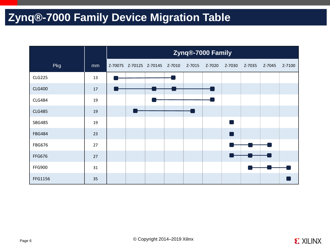### **Zynq®-7000 Family Device Migration Table**

|               |    | Zynq®-7000 Family |  |                                |  |        |        |        |        |        |        |  |
|---------------|----|-------------------|--|--------------------------------|--|--------|--------|--------|--------|--------|--------|--|
| Pkg           | mm |                   |  | Z-7007S Z-7012S Z-7014S Z-7010 |  | Z-7015 | Z-7020 | Z-7030 | Z-7035 | Z-7045 | Z-7100 |  |
| <b>CLG225</b> | 13 |                   |  |                                |  |        |        |        |        |        |        |  |
| <b>CLG400</b> | 17 |                   |  |                                |  |        |        |        |        |        |        |  |
| <b>CLG484</b> | 19 |                   |  |                                |  |        |        |        |        |        |        |  |
| <b>CLG485</b> | 19 |                   |  |                                |  |        |        |        |        |        |        |  |
| <b>SBG485</b> | 19 |                   |  |                                |  |        |        | - 1    |        |        |        |  |
| <b>FBG484</b> | 23 |                   |  |                                |  |        |        |        |        |        |        |  |
| FBG676        | 27 |                   |  |                                |  |        |        |        |        |        |        |  |
| FFG676        | 27 |                   |  |                                |  |        |        |        |        |        |        |  |
| <b>FFG900</b> | 31 |                   |  |                                |  |        |        |        |        |        |        |  |
| FFG1156       | 35 |                   |  |                                |  |        |        |        |        |        |        |  |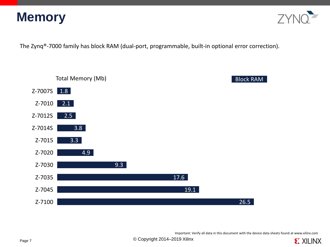



The Zynq®-7000 family has block RAM (dual-port, programmable, built-in optional error correction).



Important: Verify all data in this document with the device data sheets found at www.xilinx.com

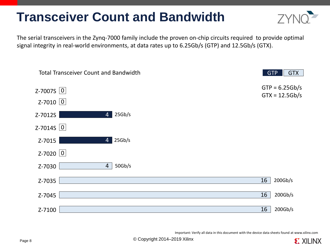# **Transceiver Count and Bandwidth**



**EXILINX** 

The serial transceivers in the Zynq-7000 family include the proven on-chip circuits required to provide optimal signal integrity in real-world environments, at data rates up to 6.25Gb/s (GTP) and 12.5Gb/s (GTX).



Important: Verify all data in this document with the device data sheets found at www.xilinx.com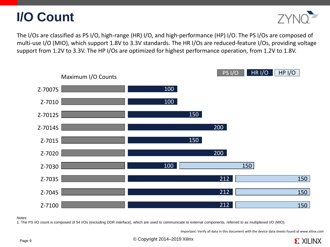



The I/Os are classified as PS I/O, high-range (HR) I/O, and high-performance (HP) I/O. The PS I/Os are composed of multi-use I/O (MIO), which support 1.8V to 3.3V standards. The HR I/Os are reduced-feature I/Os, providing voltage support from 1.2V to 3.3V. The HP I/Os are optimized for highest performance operation, from 1.2V to 1.8V.



#### Notes:

1. The PS I/O count is composed of 54 I/Os (excluding DDR interface), which are used to communicate to external components, referred to as multiplexed I/O (MIO).

Important: Verify all data in this document with the device data sheets found at www.xilinx.com

© Copyright 2014–2019 Xilinx

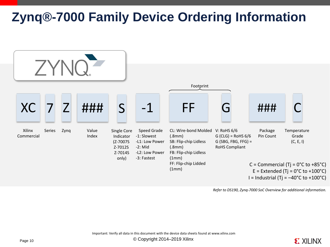# **Zynq®-7000 Family Device Ordering Information**



*Refer to DS190, Zynq-7000 SoC Overview for additional information.*

Important: Verify all data in this document with the device data sheets found at www.xilinx.com

Page 10 **Copyright 2014–2019** Xilinx